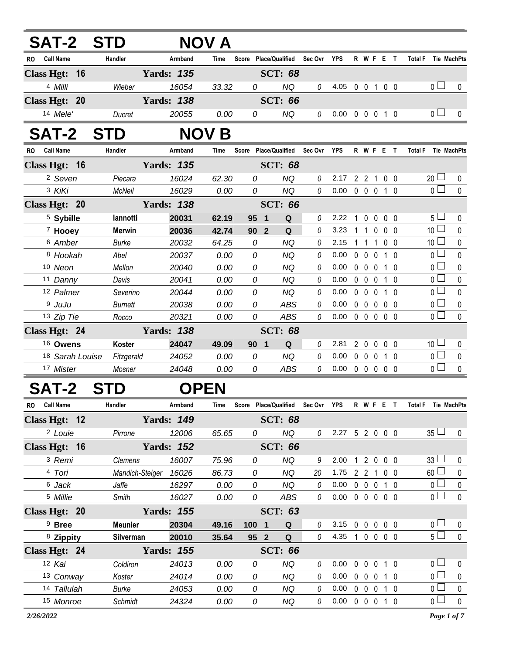| <b>SAT-2 STD</b>              |                |                   | <b>NOV A</b> |                                   |                        |          |          |              |                   |                                 |                   |                               |             |
|-------------------------------|----------------|-------------------|--------------|-----------------------------------|------------------------|----------|----------|--------------|-------------------|---------------------------------|-------------------|-------------------------------|-------------|
| RO Call Name                  | Handler        | Armband           | Time         | Score Place/Qualified Sec Ovr YPS |                        |          |          |              |                   | R W F E T                       |                   | Total F Tie MachPts           |             |
| <b>Class Hgt:</b><br>$-16$    |                | <b>Yards: 135</b> |              |                                   | <b>SCT: 68</b>         |          |          |              |                   |                                 |                   |                               |             |
| 4 Milli                       | Wieber         | 16054             | 33.32        | 0                                 | <b>NQ</b>              | 0        | 4.05     |              |                   | 0 0 1 0 0                       |                   | 0 <sub>l</sub>                | 0           |
| Class Hgt: 20                 |                | <b>Yards: 138</b> |              |                                   | <b>SCT: 66</b>         |          |          |              |                   |                                 |                   |                               |             |
| 14 Mele'                      | Ducret         | 20055             | 0.00         | 0                                 | <b>NQ</b>              | $\theta$ | $0.00\,$ |              | $0\quad 0\quad 0$ |                                 | 1 0               | $\overline{0}$ $\Box$         | $\Omega$    |
| <b>SAT-2</b>                  | <b>STD</b>     | NOV.              | B            |                                   |                        |          |          |              |                   |                                 |                   |                               |             |
| <b>Call Name</b><br><b>RO</b> | Handler        | Armband           | Time         | Score                             | <b>Place/Qualified</b> | Sec Ovr  | YPS      |              |                   | R W F E T                       |                   | <b>Total F</b><br>Tie MachPts |             |
| Class Hgt: 16                 |                | <b>Yards: 135</b> |              |                                   | <b>SCT: 68</b>         |          |          |              |                   |                                 |                   |                               |             |
| <sup>2</sup> Seven            | Piecara        | 16024             | 62.30        | 0                                 | <b>NQ</b>              | 0        | 2.17     |              |                   | 2 2 1 0 0                       |                   | 20 <sup>L</sup>               | 0           |
| 3 KiKi                        | <b>McNeil</b>  | 16029             | 0.00         | 0                                 | <b>NQ</b>              | $\Omega$ | 0.00     |              |                   | 0 0 0 1 0                       |                   | 0 <sup>2</sup>                | $\Omega$    |
| Class Hgt: 20                 |                | <b>Yards: 138</b> |              |                                   | <b>SCT: 66</b>         |          |          |              |                   |                                 |                   |                               |             |
| <sup>5</sup> Sybille          | lannotti       | 20031             | 62.19        | 95<br>$\mathbf 1$                 | Q                      | 0        | 2.22     | $\mathbf{1}$ | $\overline{0}$    | $0\quad 0\quad 0$               |                   | $5 -$                         | 0           |
| <sup>7</sup> Hooey            | <b>Merwin</b>  | 20036             | 42.74        | 90 <sub>2</sub>                   | Q                      | 0        | 3.23     |              |                   | 11000                           |                   | 10 <sup>1</sup>               | 0           |
| 6 Amber                       | <b>Burke</b>   | 20032             | 64.25        | $\Omega$                          | <b>NQ</b>              | 0        | 2.15     |              | 1 1               | 1                               | 0 <sub>0</sub>    | 10 <sup>1</sup>               | $\mathbf 0$ |
| 8 Hookah                      | Abel           | 20037             | 0.00         | 0                                 | <b>NQ</b>              | 0        | 0.00     | $0\quad 0$   |                   | $\mathbf 0$                     | 1 0               | 0 <sup>1</sup>                | $\mathbf 0$ |
| 10 Neon                       | Mellon         | 20040             | 0.00         | 0                                 | NQ                     | 0        | 0.00     |              | $0\quad 0\quad 0$ |                                 | 10                | 0 <sub>0</sub>                | $\mathbf 0$ |
| 11 Danny                      | Davis          | 20041             | 0.00         | 0                                 | <b>NQ</b>              | $\theta$ | 0.00     |              | $0\quad 0\quad 0$ |                                 | $1\quad$ $\Omega$ | 0 <sup>1</sup>                | $\mathbf 0$ |
| 12 Palmer                     | Severino       | 20044             | 0.00         | 0                                 | <b>NQ</b>              | 0        | 0.00     | $0\quad 0$   |                   | $\mathbf 0$                     | $1\quad$ $\Omega$ | $\overline{0}$                | $\mathbf 0$ |
| <sup>9</sup> JuJu             | <b>Burnett</b> | 20038             | 0.00         | 0                                 | <b>ABS</b>             | 0        | 0.00     |              |                   | 00000                           |                   | $\overline{0}$                | $\pmb{0}$   |
| 13 Zip Tie                    | Rocco          | 20321             | 0.00         | 0                                 | <b>ABS</b>             | $\theta$ | 0.00     |              |                   | $0\quad 0\quad 0\quad 0\quad 0$ |                   | $\overline{0}$                | $\Omega$    |
| Class Hgt: 24                 |                | <b>Yards: 138</b> |              |                                   | <b>SCT: 68</b>         |          |          |              |                   |                                 |                   |                               |             |
| <sup>16</sup> Owens           | Koster         | 24047             | 49.09        | 90<br>$\mathbf 1$                 | Q                      | 0        | 2.81     |              |                   | 2 0 0 0 0                       |                   | 10 <sup>1</sup>               | 0           |
| 18 Sarah Louise               | Fitzgerald     | 24052             | 0.00         | 0                                 | <b>NQ</b>              | 0        | 0.00     | $0\quad 0$   |                   | $\mathbf{0}$                    | $1\quad$ $\Omega$ | 0 <sub>1</sub>                | $\mathbf 0$ |
| 17 Mister                     | Mosner         | 24048             | 0.00         | 0                                 | <b>ABS</b>             | 0        | 0.00     |              |                   | 00000                           |                   | 0 <sub>0</sub>                | $\mathbf 0$ |
| <b>SAT-2</b>                  | S1             | <b>OPEN</b>       |              |                                   |                        |          |          |              |                   |                                 |                   |                               |             |

|  | <b>OPEN</b><br>VLCI |
|--|---------------------|
|  |                     |

| <b>Call Name</b><br><b>RO</b> | <b>Handler</b>   | Armband           | Time  | Score | <b>Place/Qualified</b> | Sec Ovr | <b>YPS</b> |              | R W F       |              | E          |                   | Total F<br><b>Tie MachPts</b> |              |
|-------------------------------|------------------|-------------------|-------|-------|------------------------|---------|------------|--------------|-------------|--------------|------------|-------------------|-------------------------------|--------------|
| Class Hgt: 12                 |                  | <b>Yards: 149</b> |       |       | <b>SCT: 68</b>         |         |            |              |             |              |            |                   |                               |              |
| <sup>2</sup> Louie            | Pirrone          | 12006             | 65.65 | 0     | NQ.                    | 0       | 2.27       |              |             | 5 2 0 0 0    |            |                   | $35 \Box$                     | $\mathbf{0}$ |
| Class Hgt: 16                 |                  | <b>Yards: 152</b> |       |       | <b>SCT: 66</b>         |         |            |              |             |              |            |                   |                               |              |
| <sup>3</sup> Remi             | Clemens          | 16007             | 75.96 | 0     | NQ.                    | 9       | 2.00       |              |             | $2\quad0$    | $0\quad 0$ |                   | 33 <sup>1</sup>               | $\Omega$     |
| 4 Tori                        | Mandich-Steiger  | 16026             | 86.73 | 0     | ΝQ                     | 20      | 1.75       | 2            | 2           |              |            | 0 <sub>0</sub>    | $60$ $\Box$                   | $\Omega$     |
| 6 Jack                        | Jaffe            | 16297             | 0.00  | 0     | NQ                     | 0       | 0.00       | 0            | $\Omega$    |              |            | $\Omega$          | $\cap$ $\Box$                 | $\Omega$     |
| 5 Millie                      | Smith            | 16027             | 0.00  | 0     | <b>ABS</b>             | 0       | 0.00       | $\mathbf{0}$ | $\mathbf 0$ |              | $0\,0\,0$  |                   | 0 <sub>0</sub>                | $\mathbf{0}$ |
| Class Hgt: 20                 |                  | <b>Yards: 155</b> |       |       | <b>SCT: 63</b>         |         |            |              |             |              |            |                   |                               |              |
| <sup>9</sup> Bree             | <b>Meunier</b>   | 20304             | 49.16 | 100   | Q<br>1                 | 0       | 3.15       | 0            | $\Omega$    | $\Omega$     |            | 0 <sub>0</sub>    | $\overline{0}$ $\Box$         | $\Omega$     |
| <sup>8</sup> Zippity          | <b>Silverman</b> | 20010             | 35.64 | 95    | $\overline{2}$<br>Q    | 0       | 4.35       | 1            |             | $0\,0\,0\,0$ |            |                   | $5\sqcup$                     | $\mathbf{0}$ |
| Class Hgt: 24                 |                  | <b>Yards: 155</b> |       |       | <b>SCT: 66</b>         |         |            |              |             |              |            |                   |                               |              |
| 12 Kai                        | Coldiron         | 24013             | 0.00  | 0     | NQ                     | 0       | 0.00       | 0            | $\Omega$    | $\cup$       |            | $1\quad$ $\Omega$ | 0 <sub>1</sub>                | $\Omega$     |
| 13 Conway                     | Koster           | 24014             | 0.00  | 0     | NQ                     | 0       | 0.00       | $\Omega$     | $\Omega$    | $\mathsf{O}$ |            | $\Omega$          | 0 <sub>0</sub>                | $\Omega$     |
| 14 Tallulah                   | Burke            | 24053             | 0.00  | 0     | NQ                     | 0       | 0.00       | 0            | $\Box$      | $\cup$       |            | $\Omega$          | 0 <sub>0</sub>                | $\Omega$     |
| 15 Monroe                     | Schmidt          | 24324             | 0.00  | 0     | ΝQ                     | 0       | 0.00       | 0            | $\Omega$    | $\Omega$     |            | $\Omega$          | $\overline{0}$ $\Box$         | $\Omega$     |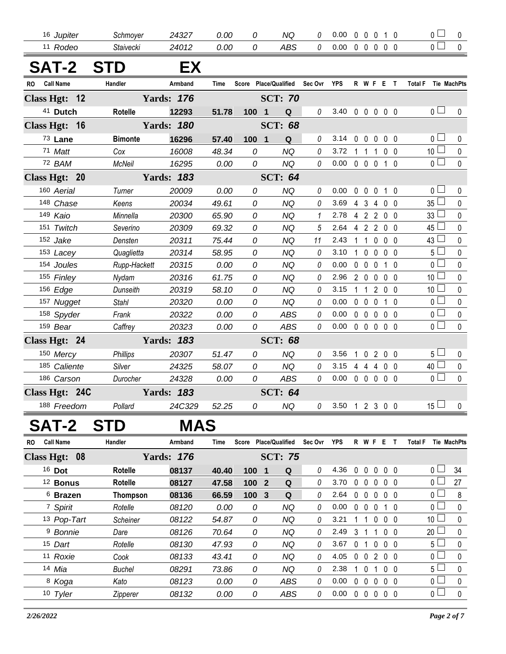| 16 Jupiter                    | Schmoyer        | 24327             | 0.00  | 0     | NQ                    | 0        | 0.00       |              |                   |                | 00010                           | 0 l             | 0           |
|-------------------------------|-----------------|-------------------|-------|-------|-----------------------|----------|------------|--------------|-------------------|----------------|---------------------------------|-----------------|-------------|
| 11 Rodeo                      | Staivecki       | 24012             | 0.00  | 0     | <b>ABS</b>            | $\theta$ | 0.00       |              | $0\quad 0\quad 0$ |                | 0 <sub>0</sub>                  | $0 -$           | $\mathbf 0$ |
| <b>SAT-2</b>                  | <b>STD</b>      | EX                |       |       |                       |          |            |              |                   |                |                                 |                 |             |
| <b>Call Name</b><br><b>RO</b> | Handler         | Armband           | Time  |       | Score Place/Qualified | Sec Ovr  | <b>YPS</b> |              |                   |                | R W F E T                       | <b>Total F</b>  | Tie MachPts |
| Class Hgt: 12                 |                 | <b>Yards: 176</b> |       |       | <b>SCT: 70</b>        |          |            |              |                   |                |                                 |                 |             |
| 41 Dutch                      | <b>Rotelle</b>  | 12293             | 51.78 | 100 1 | Q                     | 0        | 3.40       |              |                   |                | 0 0 0 0 0                       | 0 <sub>0</sub>  | $\mathbf 0$ |
| Class Hgt: 16                 |                 | <b>Yards: 180</b> |       |       | <b>SCT: 68</b>        |          |            |              |                   |                |                                 |                 |             |
| 73 Lane                       | <b>Bimonte</b>  | 16296             | 57.40 | 100 1 | Q                     | 0        | 3.14       | $\mathbf{0}$ | $\mathbf 0$       | $\mathbf 0$    | 0 <sub>0</sub>                  | 0 <sub>1</sub>  | 0           |
| 71 Matt                       | Cox             | 16008             | 48.34 | 0     | <b>NQ</b>             | 0        | 3.72       |              |                   |                | 1 1 1 0 0                       | 10 <sup>1</sup> | $\pmb{0}$   |
| 72 BAM                        | <b>McNeil</b>   | 16295             | 0.00  | 0     | <b>NQ</b>             | $\theta$ | 0.00       |              |                   |                | 0 0 0 1 0                       | 0 <sup>1</sup>  | $\mathbf 0$ |
| Class Hgt: 20                 |                 | <b>Yards: 183</b> |       |       | <b>SCT: 64</b>        |          |            |              |                   |                |                                 |                 |             |
| 160 Aerial                    | Turner          | 20009             | 0.00  | 0     | <b>NQ</b>             | 0        | 0.00       | $\mathbf{0}$ | $\overline{0}$    | $\mathbf 0$    | $1\quad$ $\Omega$               | 0 <sup>1</sup>  | $\mathbf 0$ |
| 148 Chase                     | Keens           | 20034             | 49.61 | 0     | <b>NQ</b>             | 0        | 3.69       |              | 43                |                | 400                             | 35L             | 0           |
| 149 Kaio                      | Minnella        | 20300             | 65.90 | 0     | <b>NQ</b>             | 1        | 2.78       |              | 4 2 2             |                | $0\quad 0$                      | 33              | 0           |
| 151 Twitch                    | Severino        | 20309             | 69.32 | 0     | <b>NQ</b>             | 5        | 2.64       |              |                   |                | 4 2 2 0 0                       | $45\Box$        | $\mathbf 0$ |
| 152 Jake                      | Densten         | 20311             | 75.44 | 0     | <b>NQ</b>             | 11       | 2.43       |              | $1 1 0$           |                | 0 <sub>0</sub>                  | 43 <sup>1</sup> | 0           |
| 153 Lacey                     | Quaglietta      | 20314             | 58.95 | 0     | <b>NQ</b>             | 0        | 3.10       | $\mathbf{1}$ | $\mathbf 0$       | $\mathbf 0$    | 0 <sub>0</sub>                  | 5 <sup>1</sup>  | $\mathbf 0$ |
| 154 Joules                    | Rupp-Hackett    | 20315             | 0.00  | 0     | <b>NQ</b>             | 0        | 0.00       |              | $0\quad 0\quad 0$ |                | $1\quad$ $\Omega$               | 0 <sub>l</sub>  | 0           |
| 155 Finley                    | Nydam           | 20316             | 61.75 | 0     | <b>NQ</b>             | 0        | 2.96       |              | 200               |                | $0\quad 0$                      | 10 <sup>L</sup> | 0           |
| 156 Edge                      | Dunseith        | 20319             | 58.10 | 0     | <b>NQ</b>             | 0        | 3.15       |              | 1 1               | $\overline{2}$ | $0\quad 0$                      | 10 <sup>1</sup> | 0           |
| 157 Nugget                    | <b>Stahl</b>    | 20320             | 0.00  | 0     | <b>NQ</b>             | 0        | 0.00       |              | $0\quad 0\quad 0$ |                | $1\quad0$                       | $\overline{0}$  | $\mathbf 0$ |
| 158 Spyder                    | Frank           | 20322             | 0.00  | 0     | <b>ABS</b>            | 0        | 0.00       |              | $0\quad 0\quad 0$ |                | $0\quad 0$                      | 0 l             | $\pmb{0}$   |
| 159 Bear                      | Caffrey         | 20323             | 0.00  | 0     | <b>ABS</b>            | $\theta$ | 0.00       |              |                   |                | $0\quad 0\quad 0\quad 0\quad 0$ | 0 <sup>1</sup>  | $\Omega$    |
| Class Hgt: 24                 |                 | <b>Yards: 183</b> |       |       | <b>SCT: 68</b>        |          |            |              |                   |                |                                 |                 |             |
| 150 Mercy                     | <b>Phillips</b> | 20307             | 51.47 | 0     | <b>NQ</b>             | 0        | 3.56       | 1            |                   |                | 0200                            | 5 <sub>1</sub>  | $\pmb{0}$   |
| 185 Caliente                  | Silver          | 24325             | 58.07 | 0     | <b>NQ</b>             | 0        | 3.15       |              | 4 4 4             |                | $0\quad 0$                      | $40 \Box$       | $\mathbf 0$ |
| 186 Carson                    | Durocher        | 24328             | 0.00  | 0     | <b>ABS</b>            | 0        | 0.00       |              |                   |                | $0\quad 0\quad 0\quad 0\quad 0$ | $\Omega$        | $\Omega$    |
| Class Hgt: 24C                |                 | <b>Yards: 183</b> |       |       | <b>SCT: 64</b>        |          |            |              |                   |                |                                 |                 |             |
| 188 Freedom                   | Pollard         | 24C329            | 52.25 | 0     | <b>NQ</b>             | 0        | 3.50       |              |                   |                | 1 2 3 0 0                       | $15 \Box$       | $\pmb{0}$   |
|                               |                 |                   |       |       |                       |          |            |              |                   |                |                                 |                 |             |

## **SAT-2 STD MAS**

| RO. | <b>Call Name</b>        | Handler         | Armband           | Time  | Score            | Place/Qualified              | Sec Ovr  | <b>YPS</b> |          |              | R W F        | E. |                | <b>Total F</b>        | <b>Tie MachPts</b> |
|-----|-------------------------|-----------------|-------------------|-------|------------------|------------------------------|----------|------------|----------|--------------|--------------|----|----------------|-----------------------|--------------------|
|     | 08<br><b>Class Hgt:</b> |                 | <b>Yards: 176</b> |       |                  | <b>SCT: 75</b>               |          |            |          |              |              |    |                |                       |                    |
|     | 16 Dot                  | <b>Rotelle</b>  | 08137             | 40.40 | 100 <sub>1</sub> | Q                            | 0        | 4.36       | $\Omega$ | 0            | $\Omega$     |    | $0\quad 0$     | $\overline{0}$ $\Box$ | 34                 |
|     | <sup>12</sup> Bonus     | Rotelle         | 08127             | 47.58 | 100 <sub>1</sub> | Q<br>$\overline{\mathbf{2}}$ | 0        | 3.70       | 0        | $\Omega$     | $\Omega$     |    | 0 <sub>0</sub> |                       | 27                 |
|     | <sup>6</sup> Brazen     | Thompson        | 08136             | 66.59 | 100 3            | Q                            | 0        | 2.64       | $\Omega$ | 0            | $\Omega$     |    | 0 <sub>0</sub> | $\cap$ $\Box$         | 8                  |
|     | 7 Spirit                | Rotelle         | 08120             | 0.00  | 0                | NQ                           | $\theta$ | 0.00       | $\Omega$ | $\Omega$     | $\mathbf{U}$ |    | 1 0            | $\cap$ $\Box$         | $\Omega$           |
|     | 13 Pop-Tart             | <b>Scheiner</b> | 08122             | 54.87 | 0                | NQ                           | 0        | 3.21       |          |              | $\Omega$     |    | $0\quad 0$     | 10 <sup>1</sup>       | $\Omega$           |
|     | <sup>9</sup> Bonnie     | Dare            | 08126             | 70.64 | 0                | NQ                           | 0        | 2.49       | 3        |              |              |    | 0 <sub>0</sub> | 20                    | $\Omega$           |
|     | 15 Dart                 | Rotelle         | 08130             | 47.93 | 0                | NQ                           | 0        | 3.67       | 0        |              | $\Omega$     |    | $0\quad 0$     | $5+$                  | $\Omega$           |
|     | 11 Roxie                | Cook            | 08133             | 43.41 | 0                | NQ                           | $\theta$ | 4.05       | $\Omega$ | $\Omega$     | 2            |    | 0 <sub>0</sub> | $\overline{0}$ $\Box$ | $\Omega$           |
|     | 14 <i>Mia</i>           | Buchel          | 08291             | 73.86 | 0                | ΝQ                           | 0        | 2.38       |          | 0            |              |    | 0 <sub>0</sub> | $5 -$                 | $\Omega$           |
|     | <sup>8</sup> Koga       | Kato            | 08123             | 0.00  | 0                | <b>ABS</b>                   | $\theta$ | 0.00       | 0        | $\Omega$     | $\Omega$     |    | 0 <sub>0</sub> | $\cap \Box$           | $\Omega$           |
|     | 10 Tyler                | <b>Zipperer</b> | 08132             | 0.00  | 0                | <b>ABS</b>                   | 0        | 0.00       | $\bf{0}$ | $\mathbf{0}$ | $\Omega$     |    | $0\quad 0$     | $\overline{0}$ $\Box$ | $\Omega$           |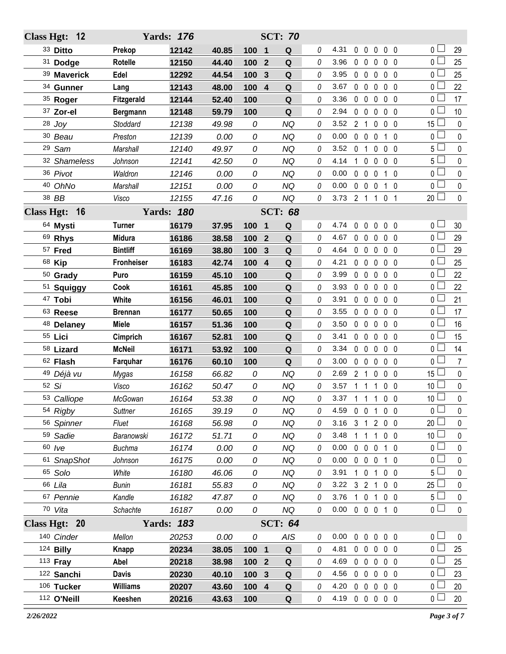|                   | Class Hgt: 12 |                   | <b>Yards: 176</b> |       |       |                         | <b>SCT: 70</b> |   |                |                |                   |              |                   |                 |                |
|-------------------|---------------|-------------------|-------------------|-------|-------|-------------------------|----------------|---|----------------|----------------|-------------------|--------------|-------------------|-----------------|----------------|
|                   | 33 Ditto      | Prekop            | 12142             | 40.85 | 100   | $\mathbf 1$             | Q              | 0 | 4.31           |                | $0\quad 0$        | 0            | $0\quad 0$        | 0 <sub>0</sub>  | 29             |
|                   | 31 Dodge      | <b>Rotelle</b>    | 12150             | 44.40 | 100   | $\mathbf{2}$            | Q              | 0 | 3.96           |                | $0\quad 0$        | 0            | 0 <sub>0</sub>    | $\overline{0}$  | 25             |
|                   | 39 Maverick   | Edel              | 12292             | 44.54 | 100   | 3                       | Q              | 0 | 3.95           |                | $0\quad 0$        | $\mathbf 0$  | 0 <sub>0</sub>    | 0 L             | 25             |
|                   | 34 Gunner     | Lang              | 12143             | 48.00 | 100   | $\overline{\mathbf{4}}$ | $\mathbf Q$    | 0 | 3.67           | $0\quad 0$     |                   | 0            | 0 <sub>0</sub>    | 0 <sup>1</sup>  | 22             |
|                   | 35 Roger      | <b>Fitzgerald</b> | 12144             | 52.40 | 100   |                         | Q              | 0 | 3.36           | $0\quad 0$     |                   | 0            | 0 <sub>0</sub>    | 0 L             | 17             |
|                   | 37 Zor-el     | <b>Bergmann</b>   | 12148             | 59.79 | 100   |                         | Q              | 0 | 2.94           |                | $0\quad 0$        | 0            | 0 <sub>0</sub>    | 0 <sup>1</sup>  | 10             |
|                   | $28$ Joy      | Stoddard          | 12138             | 49.98 | 0     |                         | <b>NQ</b>      | 0 | 3.52           | 2 <sub>1</sub> |                   | 0            | $0\quad 0$        | 15 <sup>L</sup> | $\pmb{0}$      |
|                   | 30 Beau       | Preston           | 12139             | 0.00  | 0     |                         | <b>NQ</b>      | 0 | 0.00           | $\mathbf 0$    | $\mathbf 0$       | 0            | $1\quad0$         | 0 <sub>0</sub>  | 0              |
|                   | 29 Sam        | Marshall          | 12140             | 49.97 | 0     |                         | <b>NQ</b>      | 0 | 3.52           | 0 <sub>1</sub> |                   | 0            | $0\quad 0$        | 5               | 0              |
|                   | 32 Shameless  | Johnson           | 12141             | 42.50 | 0     |                         | <b>NQ</b>      | 0 | 4.14           | $\mathbf{1}$   | $\mathbf 0$       | 0            | 0 <sub>0</sub>    | 5 L             | $\mathbf 0$    |
|                   | 36 Pivot      | Waldron           | 12146             | 0.00  | 0     |                         | <b>NQ</b>      | 0 | 0.00           |                | $0\quad 0$        | $\mathbf 0$  | $1\quad0$         | 0 <sub>0</sub>  | 0              |
|                   | 40 OhNo       | Marshall          | 12151             | 0.00  | 0     |                         | <b>NQ</b>      | 0 | 0.00           |                | $0\quad 0$        | 0            | $1\quad 0$        | 0 <sup>1</sup>  | 0              |
|                   | 38 BB         | Visco             | 12155             | 47.16 | 0     |                         | <b>NQ</b>      | 0 | 3.73           |                | $2 \t1 \t1$       |              | 0 <sub>1</sub>    | $20$ $\Box$     | $\mathbf 0$    |
| <b>Class Hgt:</b> | 16            |                   | <b>Yards: 180</b> |       |       |                         | <b>SCT: 68</b> |   |                |                |                   |              |                   |                 |                |
|                   | 64 Mysti      | <b>Turner</b>     | 16179             | 37.95 | 100   | $\blacksquare$          | Q              | 0 | 4.74           | 0              | $\mathbf 0$       | $\mathbf 0$  | $0\quad 0$        | 0 <sub>0</sub>  | 30             |
|                   | 69 Rhys       | <b>Midura</b>     | 16186             | 38.58 | 100   | $\overline{2}$          | Q              | 0 | 4.67           |                | $0\quad 0$        | 0            | $0\quad 0$        | 0 <sup>2</sup>  | 29             |
|                   | 57 Fred       | <b>Bintliff</b>   | 16169             | 38.80 | 100   | 3                       | Q              | 0 | 4.64           |                | $0\quad 0$        | $\mathbf 0$  | 0 <sub>0</sub>    | 0 <sub>0</sub>  | 29             |
|                   | 68 Kip        | <b>Fronheiser</b> | 16183             | 42.74 | 100   | $\overline{4}$          | Q              | 0 | 4.21           |                | $0\quad 0$        | 0            | $0\quad 0$        | 0 L             | 25             |
|                   | 50 Grady      | Puro              | 16159             | 45.10 | 100   |                         | $\mathbf Q$    | 0 | 3.99           | $0\quad 0$     |                   | 0            | $0\quad 0$        | 0 <sup>2</sup>  | 22             |
|                   | 51 Squiggy    | Cook              | 16161             | 45.85 | 100   |                         | $\mathbf Q$    | 0 | 3.93           |                | $0\quad 0$        | 0            | $0\quad 0$        | 0 L             | 22             |
|                   | 47 Tobi       | White             | 16156             | 46.01 | 100   |                         | $\mathbf Q$    | 0 | 3.91           |                | $0\quad 0$        | $\mathbf 0$  | $0\quad 0$        | $0^{\Box}$      | 21             |
|                   | 63 Reese      | <b>Brennan</b>    | 16177             | 50.65 | 100   |                         | Q              | 0 | 3.55           |                | $0\quad 0$        | $\mathbf{0}$ | $0\quad 0$        | 0 <sub>0</sub>  | 17             |
|                   | 48 Delaney    | <b>Miele</b>      | 16157             | 51.36 | 100   |                         | $\mathbf Q$    | 0 | 3.50           |                | $0\quad 0$        | 0            | $0\quad 0$        | 0 <sup>1</sup>  | 16             |
|                   | 55 Lici       | Cimprich          | 16167             | 52.81 | 100   |                         | Q              | 0 | 3.41           |                | $0\quad 0$        | 0            | $0\quad 0$        | 0 <sub>0</sub>  | 15             |
|                   | 58 Lizard     | <b>McNeil</b>     | 16171             | 53.92 | 100   |                         | $\mathbf Q$    | 0 | 3.34           |                | $0\quad 0$        | $\mathbf 0$  | $0\quad 0$        | 0 <sup>1</sup>  | 14             |
|                   | 62 Flash      | Farquhar          | 16176             | 60.10 | 100   |                         | Q              | 0 | 3.00           |                | $0\quad 0$        | $\mathbf{0}$ | 0 <sub>0</sub>    | 0 <sub>l</sub>  | $\overline{7}$ |
|                   | 49 Déjà vu    | Mygas             | 16158             | 66.82 | 0     |                         | <b>NQ</b>      | 0 | 2.69           | 2 <sub>1</sub> |                   | 0            | $0\quad 0$        | $15\perp$       | $\pmb{0}$      |
|                   | 52 Si         | Visco             | 16162             | 50.47 | 0     |                         | <b>NQ</b>      | 0 | 3.57           |                | $1\quad1$         | $\mathbf{1}$ | $0\quad 0$        | 10 <sup>L</sup> | $\pmb{0}$      |
|                   | 53 Calliope   | McGowan           | 16164             | 53.38 | 0     |                         | <b>NQ</b>      | 0 | 3.37 1 1 1 0 0 |                |                   |              |                   | 10 <sup>1</sup> | $\mathbf 0$    |
|                   | 54 Rigby      | <b>Suttner</b>    | 16165             | 39.19 | 0     |                         | <b>NQ</b>      | 0 | 4.59           | $0\quad 0$     |                   | 1            | 0 <sub>0</sub>    | 0 L             | 0              |
|                   | 56 Spinner    | Fluet             | 16168             | 56.98 | 0     |                         | <b>NQ</b>      | 0 | 3.16           |                | $3 \quad 1$       |              | 200               | $20$ $-$        | 0              |
|                   | 59 Sadie      | Baranowski        | 16172             | 51.71 | 0     |                         | NQ             | 0 | 3.48           | $1\quad1$      |                   | $\mathbf{1}$ | $0\quad 0$        | 10 <sup>L</sup> | 0              |
|                   | 60 /ve        | <b>Buchma</b>     | 16174             | 0.00  | 0     |                         | <b>NQ</b>      | 0 | 0.00           |                | $0\quad 0\quad 0$ |              | $1\quad 0$        | 0 <sup>2</sup>  | 0              |
|                   | 61 SnapShot   | Johnson           | 16175             | 0.00  | 0     |                         | <b>NQ</b>      | 0 | 0.00           |                | $0\quad 0\quad 0$ |              | 10                | 0 L             | 0              |
|                   | 65 Solo       | White             | 16180             | 46.06 | 0     |                         | <b>NQ</b>      | 0 | 3.91           |                | $1\quad 0$        | $\mathbf{1}$ | $0\quad 0$        | $5\lfloor$      | 0              |
|                   | 66 Lila       | Bunin             | 16181             | 55.83 | 0     |                         | NQ             | 0 | 3.22           |                | 3 2 1             |              | $0\quad 0$        | 25 <sup>1</sup> | 0              |
|                   | 67 Pennie     | Kandle            | 16182             | 47.87 | 0     |                         | <b>NQ</b>      | 0 | 3.76           |                |                   |              | 1 0 1 0 0         | 5 <sup>L</sup>  | 0              |
|                   | 70 Vita       | Schachte          | 16187             | 0.00  | 0     |                         | <b>NQ</b>      | 0 | 0.00           |                |                   |              | 0 0 0 1 0         | 0 <sup>1</sup>  | $\mathbf{0}$   |
|                   | Class Hgt: 20 |                   | <b>Yards: 183</b> |       |       |                         | <b>SCT: 64</b> |   |                |                |                   |              |                   |                 |                |
|                   | 140 Cinder    | Mellon            | 20253             | 0.00  | 0     |                         | AIS            | 0 | 0.00           |                |                   |              | 0 0 0 0 0         | 0 <sup>2</sup>  | 0              |
|                   | 124 Billy     | Knapp             | 20234             | 38.05 | 100 1 |                         | Q              | 0 | 4.81           |                | $0\quad 0$        |              | $0\quad 0\quad 0$ | 0 L             | 25             |
|                   | 113 Fray      | Abel              | 20218             | 38.98 | 100 2 |                         | $\mathbf Q$    | 0 | 4.69           |                |                   |              | 0 0 0 0 0         | 0 <sup>1</sup>  | 25             |
|                   | 122 Sanchi    | <b>Davis</b>      | 20230             | 40.10 | 100 3 |                         | Q              | 0 | 4.56           |                | $0\quad 0$        |              | $0\quad 0\quad 0$ | 0 L             | 23             |
|                   | 106 Tucker    | <b>Williams</b>   | 20207             | 43.60 | 100 4 |                         | $\mathbf Q$    | 0 | 4.20           |                |                   |              | 00000             | 0 L             | 20             |
|                   | 112 O'Neill   | Keeshen           | 20216             | 43.63 | 100   |                         | $\mathbf Q$    | 0 | 4.19 0 0 0 0 0 |                |                   |              |                   | 0 <sub>0</sub>  | 20             |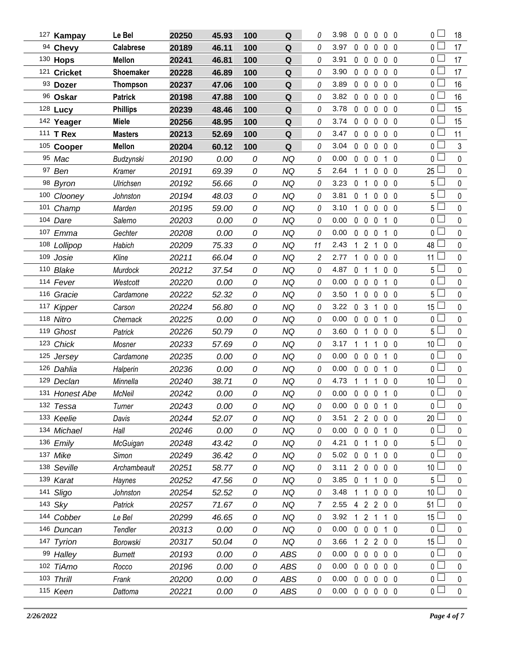| 127 Kampay     | Le Bel           | 20250 | 45.93 | 100 | ${\bf Q}$  | 0  | 3.98 | 0              | $\mathbf 0$       | 0                 | $0\quad 0$     |                | 0 L             | 18          |
|----------------|------------------|-------|-------|-----|------------|----|------|----------------|-------------------|-------------------|----------------|----------------|-----------------|-------------|
| 94 Chevy       | <b>Calabrese</b> | 20189 | 46.11 | 100 | Q          | 0  | 3.97 | 0              | $\mathbf 0$       | 0                 | 0 <sub>0</sub> |                | 0               | 17          |
| 130 Hops       | <b>Mellon</b>    | 20241 | 46.81 | 100 | ${\bf Q}$  | 0  | 3.91 | $\mathbf{0}$   | $\mathbf 0$       | 0                 | 0 <sub>0</sub> |                | 0 l             | 17          |
| 121 Cricket    | Shoemaker        | 20228 | 46.89 | 100 | Q          | 0  | 3.90 | $\mathbf{0}$   | $\mathbf 0$       | 0                 | 0 <sub>0</sub> |                | 0 <sub>1</sub>  | 17          |
| 93 Dozer       | <b>Thompson</b>  | 20237 | 47.06 | 100 | Q          | 0  | 3.89 | $\mathbf 0$    | $\mathbf 0$       | $\mathbf{0}$      | 0 <sub>0</sub> |                | 0 L             | 16          |
| 96 Oskar       | <b>Patrick</b>   | 20198 | 47.88 | 100 | Q          | 0  | 3.82 | 0              | $\mathbf 0$       | 0                 | $\mathbf 0$    | - 0            | 0 <sub>1</sub>  | 16          |
| 128 Lucy       | <b>Phillips</b>  | 20239 | 48.46 | 100 | Q          | 0  | 3.78 | $\mathbf{0}$   | $\mathbf 0$       | $\mathbf{0}$      | $\mathbf 0$    | $\overline{0}$ | 0               | 15          |
| 142 Yeager     | <b>Miele</b>     | 20256 | 48.95 | 100 | Q          | 0  | 3.74 | $\mathbf{0}$   | $\mathbf 0$       | $\mathbf{0}$      | $\mathbf 0$    | $\mathbf{0}$   | 0 L             | 15          |
| 111 T Rex      | <b>Masters</b>   | 20213 | 52.69 | 100 | Q          | 0  | 3.47 | $\mathbf 0$    | $\mathbf{0}$      | $\mathbf{0}$      | 0 <sub>0</sub> |                | $\mathbf 0$     | 11          |
| 105 Cooper     | <b>Mellon</b>    | 20204 | 60.12 | 100 | Q          | 0  | 3.04 | 0              | $\mathbf 0$       | 0                 | $\mathbf 0$    | - 0            | 0 <sub>0</sub>  | 3           |
| 95 Mac         | Budzynski        | 20190 | 0.00  | 0   | <b>NQ</b>  | 0  | 0.00 | $\mathbf{0}$   | $\mathbf 0$       | 0                 | 1              | $\mathbf 0$    | 0               | $\pmb{0}$   |
| 97 Ben         | Kramer           | 20191 | 69.39 | 0   | <b>NQ</b>  | 5  | 2.64 | 1              | 1                 | 0                 | $\mathbf 0$    | $\overline{0}$ | 25              | $\pmb{0}$   |
| 98 Byron       | Ulrichsen        | 20192 | 56.66 | 0   | <b>NQ</b>  | 0  | 3.23 | $\mathbf{0}$   | 1                 | 0                 | 0 <sub>0</sub> |                | 5 <sup>1</sup>  | $\pmb{0}$   |
| 100 Clooney    | Johnston         | 20194 | 48.03 | 0   | <b>NQ</b>  | 0  | 3.81 | 0              | 1                 | 0                 | $0\quad 0$     |                | 5 <sup>1</sup>  | $\pmb{0}$   |
| 101 Champ      | Marden           | 20195 | 59.00 | 0   | <b>NQ</b>  | 0  | 3.10 | $\mathbf{1}$   | $\mathbf 0$       | 0                 | 0 <sub>0</sub> |                | 5 <sup>1</sup>  | $\pmb{0}$   |
| 104 Dare       | Salerno          | 20203 | 0.00  | 0   | <b>NQ</b>  | 0  | 0.00 | $\mathbf 0$    | $\mathbf 0$       | 0                 | $\mathbf{1}$   | $\mathbf 0$    | 0 <sub>1</sub>  | $\pmb{0}$   |
| 107 Emma       | Gechter          | 20208 | 0.00  | 0   | <b>NQ</b>  | 0  | 0.00 | 0              | $\mathbf 0$       | $\mathbf{0}$      | $\mathbf{1}$   | $\overline{0}$ | 0 L             | $\pmb{0}$   |
| 108 Lollipop   | Habich           | 20209 | 75.33 | 0   | <b>NQ</b>  | 11 | 2.43 | 1              | 2                 | 1                 | $\mathbf 0$    | $\overline{0}$ | 48              | $\pmb{0}$   |
| 109 Josie      | Kline            | 20211 | 66.04 | 0   | NQ         | 2  | 2.77 | 1              | $\mathbf 0$       | 0                 | 0 <sub>0</sub> |                | 11              | $\pmb{0}$   |
| 110 Blake      | Murdock          | 20212 | 37.54 | 0   | <b>NQ</b>  | 0  | 4.87 | 0              | -1                | 1                 | 0 <sub>0</sub> |                | 5 <sub>1</sub>  | $\pmb{0}$   |
| 114 Fever      | Westcott         | 20220 | 0.00  | 0   | <b>NQ</b>  | 0  | 0.00 | $\mathbf 0$    | $\mathbf 0$       | 0                 | $1\quad0$      |                | 0 l             | $\pmb{0}$   |
| 116 Gracie     | Cardamone        | 20222 | 52.32 | 0   | <b>NQ</b>  | 0  | 3.50 | $\mathbf{1}$   | $\mathbf 0$       | 0                 | 0 <sub>0</sub> |                | 5 <sub>1</sub>  | $\pmb{0}$   |
| 117 Kipper     | Carson           | 20224 | 56.80 | 0   | <b>NQ</b>  | 0  | 3.22 | 0 <sub>3</sub> |                   | 1                 | 0 <sub>0</sub> |                | 15              | $\pmb{0}$   |
| 118 Nitro      | Chernack         | 20225 | 0.00  | 0   | <b>NQ</b>  | 0  | 0.00 | $\mathbf 0$    | $\mathbf 0$       | 0                 | $\mathbf{1}$   | $\mathbf 0$    | 0 <sub>1</sub>  | $\pmb{0}$   |
| 119 Ghost      | Patrick          | 20226 | 50.79 | 0   | <b>NQ</b>  | 0  | 3.60 | 0              | 1                 | $\mathbf{0}$      | $0\quad 0$     |                | 5 l             | $\pmb{0}$   |
| 123 Chick      | Mosner           | 20233 | 57.69 | 0   | <b>NQ</b>  | 0  | 3.17 | 1              | -1                | 1                 | $\mathbf 0$    | $\overline{0}$ | 10 <sup>L</sup> | $\pmb{0}$   |
| 125 Jersey     | Cardamone        | 20235 | 0.00  | 0   | NQ         | 0  | 0.00 | 0              | $\mathbf 0$       | 0                 | 1              | $\overline{0}$ | 0               | $\pmb{0}$   |
| 126 Dahlia     | Halperin         | 20236 | 0.00  | 0   | <b>NQ</b>  | 0  | 0.00 | $\mathbf 0$    | $\mathbf 0$       | 0                 | $\mathbf{1}$   | $\overline{0}$ | 0 <sup>1</sup>  | $\pmb{0}$   |
| 129 Declan     | Minnella         | 20240 | 38.71 | 0   | NQ         | 0  | 4.73 | 1              | 1                 |                   | 0 <sub>0</sub> |                | 10              | $\pmb{0}$   |
| 131 Honest Abe | <b>McNeil</b>    | 20242 | 0.00  | 0   | <b>NQ</b>  | 0  | 0.00 | $\mathbf 0$    | $\mathbf 0$       | $\mathbf 0$       | $\mathbf{1}$   | $\mathbf 0$    | $\overline{0}$  | $\mathbf 0$ |
| 132 Tessa      | Turner           | 20243 | 0.00  | 0   | <b>NQ</b>  | 0  | 0.00 |                |                   | 0 0 0 1 0         |                |                | 0 <sub>0</sub>  | 0           |
| 133 Keelie     | Davis            | 20244 | 52.07 | 0   | <b>NQ</b>  | 0  | 3.51 |                |                   | 2 2 0 0 0         |                |                | 20              | 0           |
| 134 Michael    | Hall             | 20246 | 0.00  | 0   | NQ         | 0  | 0.00 |                | $0\quad 0\quad 0$ |                   | 1 0            |                | 0 L             | 0           |
| 136 Emily      | McGuigan         | 20248 | 43.42 | 0   | <b>NQ</b>  | 0  | 4.21 |                | 0 <sub>1</sub>    | $\overline{1}$    | $0\quad 0$     |                | 5 <sub>1</sub>  | $\mathbf 0$ |
| 137 Mike       | Simon            | 20249 | 36.42 | 0   | <b>NQ</b>  | 0  | 5.02 | $0\quad 0$     |                   | 1                 | 0 <sub>0</sub> |                | 0 l             | 0           |
| 138 Seville    | Archambeault     | 20251 | 58.77 | 0   | <b>NQ</b>  | 0  | 3.11 |                |                   | 2 0 0 0 0         |                |                | 10 <sup>1</sup> | 0           |
| 139 Karat      | Haynes           | 20252 | 47.56 | 0   | <b>NQ</b>  | 0  | 3.85 | 0 <sub>1</sub> |                   | 1                 | $0\quad 0$     |                | 5               | 0           |
| 141 Sligo      | Johnston         | 20254 | 52.52 | 0   | <b>NQ</b>  | 0  | 3.48 |                | $1\quad1$         | $0\quad 0\quad 0$ |                |                | 10 <sup>1</sup> | 0           |
| 143 Sky        | Patrick          | 20257 | 71.67 | 0   | <b>NQ</b>  | 7  | 2.55 |                |                   | 4 2 2 0 0         |                |                | 51              | 0           |
| 144 Cobber     | Le Bel           | 20299 | 46.65 | 0   | <b>NQ</b>  | 0  | 3.92 | $\mathbf{1}$   | 2 <sub>1</sub>    |                   | 1 0            |                | 15 <sup>1</sup> | 0           |
| 146 Duncan     | Tendler          | 20313 | 0.00  | 0   | NQ         | 0  | 0.00 | $\mathbf 0$    | $0\quad 0$        |                   | 1 0            |                | 0 <sub>0</sub>  | 0           |
| 147 Tyrion     | Borowski         | 20317 | 50.04 | 0   | <b>NQ</b>  | 0  | 3.66 | 1              |                   | 2 2 0 0           |                |                | $15\perp$       | $\mathbf 0$ |
| 99 Halley      | Burnett          | 20193 | 0.00  | 0   | <b>ABS</b> | 0  | 0.00 | $\mathbf{0}$   | $\mathbf{0}$      | 0                 | 0 <sub>0</sub> |                | 0 L             | 0           |
| 102 TiAmo      | Rocco            | 20196 | 0.00  | 0   | ABS        | 0  | 0.00 |                |                   | 0 0 0 0 0         |                |                | 0 <sub>1</sub>  | $\mathbf 0$ |
| 103 Thrill     | Frank            | 20200 | 0.00  | 0   | ABS        | 0  | 0.00 | $\mathbf{0}$   | $\mathbf 0$       | 0                 | 0 <sub>0</sub> |                | 0 L             | 0           |
| 115 Keen       | Dattoma          | 20221 | 0.00  | 0   | ABS        | 0  | 0.00 |                |                   | 00000             |                |                | 0 <sub>1</sub>  | $\pmb{0}$   |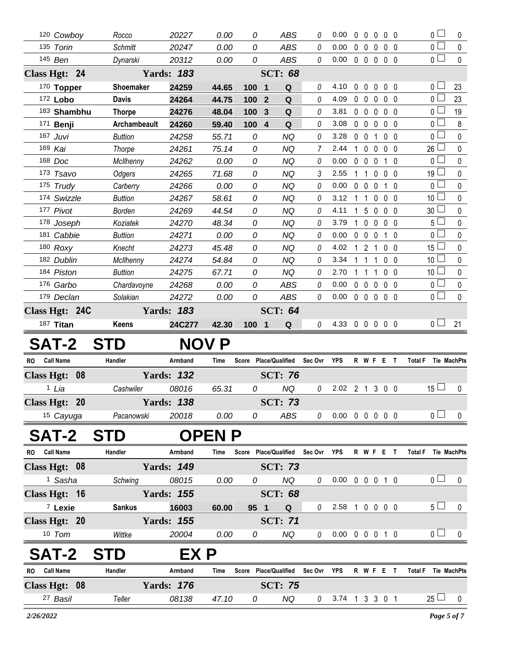|              | 120 Cowboy                       |                           | 20227                      | 0.00                 | 0          | <b>ABS</b>                              | 0             | 0.00                       | 0                   | 0               | $\mathbf{0}$               | 0 <sub>0</sub>               |                | $\overline{0}$      | 0           |
|--------------|----------------------------------|---------------------------|----------------------------|----------------------|------------|-----------------------------------------|---------------|----------------------------|---------------------|-----------------|----------------------------|------------------------------|----------------|---------------------|-------------|
|              | 135 Torin                        | Rocco<br><b>Schmitt</b>   | 20247                      | 0.00                 | 0          | <b>ABS</b>                              | 0             | 0.00                       | $0\quad 0$          |                 | 0                          | 0 <sub>0</sub>               |                | $\overline{0}$      | $\pmb{0}$   |
|              | 145 Ben                          | Dynarski                  | 20312                      | 0.00                 | 0          | ABS                                     | 0             | 0.00                       | $0\quad 0$          |                 | $\mathbf 0$                | 0 <sub>0</sub>               |                | $\overline{0}$      | $\mathbf 0$ |
|              | Class Hgt: 24                    |                           | <b>Yards: 183</b>          |                      |            | <b>SCT: 68</b>                          |               |                            |                     |                 |                            |                              |                |                     |             |
|              | 170 Topper                       |                           |                            |                      |            |                                         |               |                            |                     |                 |                            |                              |                | 0 <sub>1</sub>      |             |
|              | 172 Lobo                         | Shoemaker<br><b>Davis</b> | 24259<br>24264             | 44.65<br>44.75       | 100<br>100 | Q<br>$\mathbf 1$<br>$\overline{2}$<br>Q | 0<br>0        | 4.10<br>4.09               | 0<br>0 <sub>0</sub> | $\mathbf 0$     | $\mathbf 0$<br>$\mathbf 0$ | $0\quad 0$<br>0 <sub>0</sub> |                | 0 <sub>1</sub>      | 23<br>23    |
|              | 183 Shambhu                      | <b>Thorpe</b>             | 24276                      | 48.04                | 100        | 3<br>Q                                  | 0             | 3.81                       | $0\quad 0$          |                 | $\mathbf 0$                | 0 <sub>0</sub>               |                | 0 <sub>l</sub>      | 19          |
|              | 171 <b>Benji</b>                 | <b>Archambeault</b>       | 24260                      | 59.40                | 100        | Q<br>$\overline{\mathbf{4}}$            | 0             | 3.08                       | $0\quad 0$          |                 | $\mathbf 0$                | 0 <sub>0</sub>               |                | 0                   | 8           |
|              | 167 Juvi                         | <b>Buttion</b>            | 24258                      | 55.71                | 0          | <b>NQ</b>                               | 0             | 3.28                       | $\mathbf 0$         | $\overline{0}$  | $\mathbf{1}$               | 0 <sub>0</sub>               |                | 0 <sub>0</sub>      | $\pmb{0}$   |
|              | 169 Kai                          | Thorpe                    | 24261                      | 75.14                | 0          | <b>NQ</b>                               | 7             | 2.44                       | $\mathbf{1}$        | $\mathbf 0$     | 0                          | 0 <sub>0</sub>               |                | 26                  | $\pmb{0}$   |
|              | 168 Doc                          | <b>McIlhenny</b>          | 24262                      | 0.00                 | 0          | <b>NQ</b>                               | 0             | 0.00                       | $\mathbf{0}$        | $\mathbf 0$     | $\mathbf{0}$               | $\mathbf 1$<br>$\Omega$      |                | 0 <sub>l</sub>      | $\pmb{0}$   |
|              | 173 Tsavo                        | Odgers                    | 24265                      | 71.68                | 0          | <b>NQ</b>                               | 3             | 2.55                       | 1                   | $\mathbf{1}$    | $\mathbf 0$                | 0 <sub>0</sub>               |                | 19                  | $\pmb{0}$   |
|              | 175 Trudy                        | Carberry                  | 24266                      | 0.00                 | 0          | <b>NQ</b>                               | 0             | 0.00                       | 0                   | $\mathbf 0$     | $\mathbf{0}$               | $\mathbf{1}$<br>$\Omega$     |                | $\overline{0}$      | $\pmb{0}$   |
|              | 174 Swizzle                      | <b>Buttion</b>            | 24267                      | 58.61                | 0          | <b>NQ</b>                               | 0             | 3.12                       | $\mathbf{1}$        | 1               | 0                          | 0 <sub>0</sub>               |                | 10 <sup>°</sup>     | $\pmb{0}$   |
|              | 177 Pivot                        | <b>Borden</b>             | 24269                      | 44.54                | 0          | <b>NQ</b>                               | 0             | 4.11                       | $\mathbf{1}$        | $5\phantom{.0}$ | 0                          | 0 <sub>0</sub>               |                | 30 <sup>1</sup>     | $\pmb{0}$   |
|              | 178 Joseph                       | Koziatek                  | 24270                      | 48.34                | 0          | <b>NQ</b>                               | 0             | 3.79                       | $\mathbf{1}$        | $\mathbf 0$     | $\mathbf 0$                | 0 <sub>0</sub>               |                | 5 <sub>1</sub>      | $\pmb{0}$   |
|              | 181 Cabbie                       | <b>Buttion</b>            | 24271                      | 0.00                 | 0          | <b>NQ</b>                               | 0             | 0.00                       | $\mathbf 0$         | $\mathbf 0$     | 0                          | $1\quad0$                    |                | $\overline{0}$      | $\mathbf 0$ |
|              | 180 Roxy                         | Knecht                    | 24273                      | 45.48                | 0          | <b>NQ</b>                               | 0             | 4.02                       |                     | $121$           |                            | 0 <sub>0</sub>               |                | 15 <sup>1</sup>     | 0           |
|              | 182 Dublin                       | McIlhenny                 | 24274                      | 54.84                | 0          | <b>NQ</b>                               | 0             | 3.34                       | $\mathbf{1}$        | $\overline{1}$  | $\mathbf{1}$               | 0 <sub>0</sub>               |                | 10 <sup>1</sup>     | $\mathbf 0$ |
|              | 184 Piston                       | <b>Buttion</b>            | 24275                      | 67.71                | 0          | <b>NQ</b>                               | 0             | 2.70                       | $1\quad1$           |                 | 1                          | 0 <sub>0</sub>               |                | 10                  | $\pmb{0}$   |
|              | 176 Garbo                        | Chardavoyne               | 24268                      | 0.00                 | 0          | <b>ABS</b>                              | 0             | 0.00                       | $0\quad 0$          |                 | $\mathbf 0$                | 0 <sub>0</sub>               |                | $\overline{0}$      | $\mathbf 0$ |
|              | 179 Declan                       | Solakian                  | 24272                      | 0.00                 | 0          | <b>ABS</b>                              | 0             | 0.00                       | $0\quad 0$          |                 | $\mathbf 0$                | 0 <sub>0</sub>               |                | $\overline{0}$      | $\mathbf 0$ |
|              | Class Hgt: 24C                   |                           | <b>Yards: 183</b>          |                      |            | <b>SCT: 64</b>                          |               |                            |                     |                 |                            |                              |                |                     |             |
|              | 187 Titan                        | Keens                     | 24C277                     | 42.30                | 100 1      | Q                                       | 0             | 4.33 0 0 0 0 0             |                     |                 |                            |                              |                | 0 <sub>0</sub>      | 21          |
|              |                                  |                           |                            |                      |            |                                         |               |                            |                     |                 |                            |                              |                |                     |             |
|              |                                  |                           |                            |                      |            |                                         |               |                            |                     |                 |                            |                              |                |                     |             |
| RO.          | <b>SAT-2</b><br><b>Call Name</b> | S.<br>Handler             | Armband                    | <b>NOV P</b><br>Time |            | Score Place/Qualified Sec Ovr YPS       |               |                            |                     |                 |                            | R W F E T                    |                | Total F Tie MachPts |             |
|              |                                  |                           |                            |                      |            |                                         |               |                            |                     |                 |                            |                              |                |                     |             |
|              | Class Hgt: 08                    |                           | <b>Yards: 132</b>          |                      |            | <b>SCT: 76</b>                          |               |                            |                     |                 |                            |                              |                |                     |             |
|              | 1 Lia                            | Cashwiler                 | 08016                      | 65.31                | 0          | <b>NQ</b>                               | 0             | 2.02 2 1 3 0 0             |                     |                 |                            |                              |                | 15 $\Box$           | 0           |
|              | Class Hgt: 20                    |                           | <b>Yards: 138</b>          |                      |            | <b>SCT: 73</b>                          |               |                            |                     |                 |                            |                              |                |                     |             |
|              | 15 Cayuga                        | Pacanowski                | 20018                      | 0.00                 | 0          | ABS                                     | $\mathcal{O}$ | 0.00 0 0 0 0 0             |                     |                 |                            |                              |                | 0 <sub>l</sub>      | $\mathbf 0$ |
|              | SAT-2                            | <b>STD</b>                |                            | <b>OPEN P</b>        |            |                                         |               |                            |                     |                 |                            |                              |                |                     |             |
| RO Call Name |                                  | Handler                   | Armband                    | Time                 |            | Score Place/Qualified Sec Ovr           |               | <b>YPS</b>                 |                     |                 |                            | R W F E T                    |                | Total F Tie MachPts |             |
|              | Class Hgt: 08                    |                           | <b>Yards: 149</b>          |                      |            | <b>SCT: 73</b>                          |               |                            |                     |                 |                            |                              |                |                     |             |
|              | <sup>1</sup> Sasha               | Schwing                   | 08015                      | 0.00                 | 0          | NQ                                      | 0             | $0.00 \t0 \t0 \t0 \t1 \t0$ |                     |                 |                            |                              |                | 0 <sub>1</sub>      | $\mathbf 0$ |
|              |                                  |                           | <b>Yards: 155</b>          |                      |            |                                         |               |                            |                     |                 |                            |                              |                |                     |             |
|              | Class Hgt: 16                    |                           |                            |                      |            | <b>SCT: 68</b>                          |               |                            |                     |                 |                            |                              |                | 5 <sub>1</sub>      |             |
|              | <sup>7</sup> Lexie               | <b>Sankus</b>             | 16003                      | 60.00                | 95 1       | Q                                       |               | $0$ 2.58 1 0 0 0 0         |                     |                 |                            |                              |                |                     | $\mathbf 0$ |
|              | Class Hgt: 20                    |                           | <b>Yards: 155</b>          |                      |            | <b>SCT: 71</b>                          | $\theta$      |                            |                     |                 |                            |                              |                | 0 <sub>1</sub>      |             |
|              | 10 Tom                           | Wittke                    | 20004                      | 0.00                 | 0          | NQ                                      |               | 0.00 0 0 0 1 0             |                     |                 |                            |                              |                |                     | 0           |
|              | SAT-2                            | <b>STD</b>                | EX P                       |                      |            |                                         |               |                            |                     |                 |                            |                              |                |                     |             |
| <b>RO</b>    | <b>Call Name</b>                 | Handler                   | Armband                    | Time                 |            | Score Place/Qualified                   | Sec Ovr       | <b>YPS</b>                 |                     |                 |                            | R W F E T                    | <b>Total F</b> | Tie MachPts         |             |
|              | Class Hgt: 08<br>27 Basil        | Teller                    | <b>Yards: 176</b><br>08138 | 47.10                |            | <b>SCT: 75</b><br>NQ                    |               | 3.74 1 3 3 0 1             |                     |                 |                            |                              |                | $25 \Box$           | $\mathbf 0$ |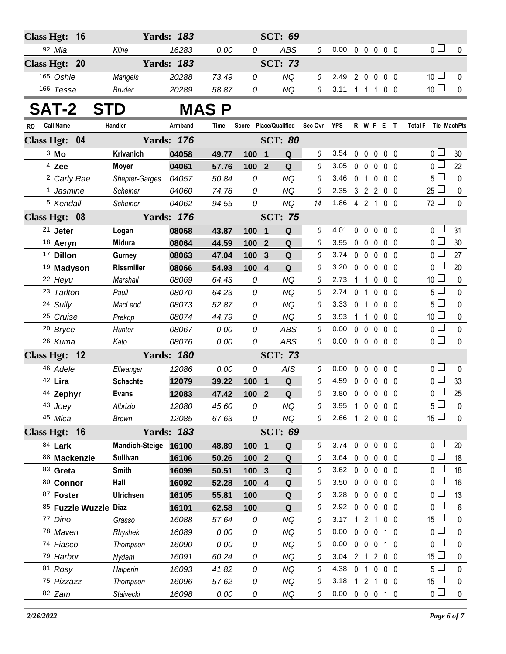| <b>Class Hgt:</b> | 16                         |                       | <b>Yards: 183</b> |       |                  |                         | <b>SCT: 69</b>        |         |                |                |                                |                   |                |                               |              |
|-------------------|----------------------------|-----------------------|-------------------|-------|------------------|-------------------------|-----------------------|---------|----------------|----------------|--------------------------------|-------------------|----------------|-------------------------------|--------------|
|                   | 92 Mia                     | Kline                 | 16283             | 0.00  | 0                |                         | <b>ABS</b>            | 0       | 0.00           |                | 00000                          |                   |                | 0 <sub>1</sub>                | $\mathbf 0$  |
|                   | Class Hgt: 20              |                       | <b>Yards: 183</b> |       |                  |                         | <b>SCT: 73</b>        |         |                |                |                                |                   |                |                               |              |
|                   | 165 Oshie                  | Mangels               | 20288             | 73.49 | 0                |                         | <b>NQ</b>             | 0       | 2.49           |                | $2\quad0$<br>$\mathbf 0$       |                   | $0\quad 0$     | 10 <sup>1</sup>               | 0            |
|                   | 166 Tessa                  | <b>Bruder</b>         | 20289             | 58.87 | 0                |                         | <b>NQ</b>             | 0       | 3.11           |                | $1 \quad 1 \quad 1$            |                   | 0 <sub>0</sub> | 10 <sup>1</sup>               | $\mathbf 0$  |
|                   | <b>SAT-2</b><br><b>STD</b> |                       |                   | MAS P |                  |                         |                       |         |                |                |                                |                   |                |                               |              |
| RO.               | <b>Call Name</b>           | Handler               | Armband           | Time  |                  |                         | Score Place/Qualified | Sec Ovr | YPS            |                | R W F E T                      |                   |                | <b>Total F</b><br>Tie MachPts |              |
|                   | Class Hgt: 04              |                       | <b>Yards: 176</b> |       |                  |                         | <b>SCT: 80</b>        |         |                |                |                                |                   |                |                               |              |
|                   | 3 Mo                       | Krivanich             | 04058             | 49.77 | 100              | $\overline{\mathbf{1}}$ | Q                     | 0       | 3.54           | 0              | 0<br>0                         |                   | $0\quad 0$     | 0 <sub>0</sub>                | 30           |
|                   | <sup>4</sup> Zee           | <b>Moyer</b>          | 04061             | 57.76 | 100 2            |                         | Q                     | 0       | 3.05           | 0              | $\overline{0}$<br>$\mathbf 0$  |                   | 0 <sub>0</sub> | $\overline{0}$ $\Box$         | 22           |
|                   | <sup>2</sup> Carly Rae     | Shepter-Garges        | 04057             | 50.84 | 0                |                         | <b>NQ</b>             | 0       | 3.46           | 0              | $\overline{1}$<br>0            |                   | 0 <sub>0</sub> | $5\Box$                       | $\mathbf{0}$ |
|                   | 1 Jasmine                  | <b>Scheiner</b>       | 04060             | 74.78 | 0                |                         | <b>NQ</b>             | 0       | 2.35           |                | $3 \quad 2 \quad 2$            |                   | $0\quad 0$     | $25\Box$                      | $\pmb{0}$    |
|                   | 5 Kendall                  | Scheiner              | 04062             | 94.55 | 0                |                         | <b>NQ</b>             | 14      | 1.86           |                | 421                            |                   | $0\quad 0$     | $72 \Box$                     | $\mathbf 0$  |
|                   | Class Hgt: 08              |                       | <b>Yards: 176</b> |       |                  |                         | <b>SCT: 75</b>        |         |                |                |                                |                   |                |                               |              |
|                   | $21$ Jeter                 | Logan                 | 08068             | 43.87 | 100              | 1                       | Q                     | 0       | 4.01           | $\mathbf{0}$   | $\mathbf 0$<br>0               |                   | 0 <sub>0</sub> | $\overline{0}$                | 31           |
|                   | 18 Aeryn                   | <b>Midura</b>         | 08064             | 44.59 | 100              | $\overline{2}$          | Q                     | 0       | 3.95           |                | $0\quad 0$<br>$\mathbf{0}$     |                   | 0 <sub>0</sub> | $\overline{0}$                | 30           |
|                   | <sup>17</sup> Dillon       | Gurney                | 08063             | 47.04 | 100              | 3                       | $\mathbf Q$           | 0       | 3.74           |                | $0\quad 0$<br>0                |                   | $0\quad 0$     | $\overline{0}$                | 27           |
|                   | <sup>19</sup> Madyson      | <b>Rissmiller</b>     | 08066             | 54.93 | 100              | $\overline{4}$          | Q                     | 0       | 3.20           |                | $0\quad 0$<br>0                |                   | 0 <sub>0</sub> | 0 <sub>0</sub>                | 20           |
|                   | 22 Heyu                    | Marshall              | 08069             | 64.43 | 0                |                         | <b>NQ</b>             | 0       | 2.73           | 1              | $\overline{1}$<br>0            |                   | 0 <sub>0</sub> | 10 <sup>2</sup>               | $\mathbf{0}$ |
|                   | 23 Tarlton                 | Paull                 | 08070             | 64.23 | 0                |                         | <b>NQ</b>             | 0       | 2.74           | 0 <sub>1</sub> | $\mathbf 0$                    |                   | 0 <sub>0</sub> | $5\Box$                       | $\mathbf 0$  |
|                   | 24 Sully                   | MacLeod               | 08073             | 52.87 | 0                |                         | <b>NQ</b>             | 0       | 3.33           | $\mathbf 0$    | $\overline{1}$<br>0            |                   | 0 <sub>0</sub> | $5 \Box$                      | $\mathbf 0$  |
|                   | 25 Cruise                  | Prekop                | 08074             | 44.79 | 0                |                         | <b>NQ</b>             | 0       | 3.93           | $1\quad1$      | 0                              |                   | $0\quad 0$     | 10 <sup>1</sup>               | $\mathbf 0$  |
|                   | <sup>20</sup> Bryce        | Hunter                | 08067             | 0.00  | 0                |                         | <b>ABS</b>            | 0       | 0.00           |                | $0\quad 0$<br>$\mathbf 0$      |                   | 0 <sub>0</sub> | $0\square$                    | $\pmb{0}$    |
|                   | 26 Kuma                    | Kato                  | 08076             | 0.00  | 0                |                         | <b>ABS</b>            | 0       | 0.00           |                | $0\quad 0$<br>$\mathbf 0$      |                   | $0\quad 0$     | $\overline{0}$ $\Box$         | 0            |
|                   | Class Hgt: 12              |                       | <b>Yards: 180</b> |       |                  |                         | <b>SCT: 73</b>        |         |                |                |                                |                   |                |                               |              |
|                   | 46 Adele                   | Ellwanger             | 12086             | 0.00  | 0                |                         | AIS                   | 0       | 0.00           | $\mathbf{0}$   | $\mathbf 0$<br>$\mathbf{0}$    |                   | 0 <sub>0</sub> | $\overline{0}$                | 0            |
|                   | 42 Lira                    | <b>Schachte</b>       | 12079             | 39.22 | 100              | $\mathbf 1$             | $\mathbf Q$           | 0       | 4.59           |                | 0 <sub>0</sub><br>$\mathbf{0}$ |                   | $0\quad 0$     | $0-$                          | 33           |
|                   | 44 Zephyr                  | <b>Evans</b>          | 12083             | 47.42 | 100 2            |                         | $\mathbf Q$           | 0       | 3.80           | $\mathbf 0$    | $\mathbf 0$<br>$\mathbf 0$     | $\mathbf{0}$      | 0              | $\overline{0}$                | 25           |
|                   | 43 Joey                    | Albrizio              | 12080             | 45.60 | 0                |                         | NQ                    | 0       | 3.95           |                | 1 0 0 0 0                      |                   |                | 5 <sub>1</sub>                | $\mathbf{0}$ |
|                   | 45 Mica                    | <b>Brown</b>          | 12085             | 67.63 | 0                |                         | NQ                    | 0       | 2.66 1 2 0 0 0 |                |                                |                   |                | $15 \Box$                     | $\pmb{0}$    |
|                   | Class Hgt: 16              |                       | <b>Yards: 183</b> |       |                  |                         | <b>SCT: 69</b>        |         |                |                |                                |                   |                |                               |              |
|                   | 84 Lark                    | <b>Mandich-Steige</b> | 16100             | 48.89 | 100 1            |                         | Q                     | 0       | 3.74           |                | $0\quad 0$                     | $0\quad 0\quad 0$ |                | 0 <sub>0</sub>                | 20           |
|                   | 88 Mackenzie               | <b>Sullivan</b>       | 16106             | 50.26 | 100 <sub>2</sub> |                         | $\mathbf Q$           | 0       | 3.64           |                | $0\quad 0$<br>$\mathbf 0$      |                   | $0\quad 0$     | 0 <sup>1</sup>                | 18           |
|                   | 83 Greta                   | Smith                 | 16099             | 50.51 | 100              | $\mathbf{3}$            | Q                     | 0       | 3.62           |                | $0\quad 0$<br>$\mathbf 0$      |                   | $0\quad 0$     | 0 L                           | 18           |
|                   | 80 Connor                  | Hall                  | 16092             | 52.28 | 100 4            |                         | $\mathbf Q$           | 0       | 3.50           |                | $0\quad 0$<br>$\mathbf 0$      |                   | $0\quad 0$     | 0 <sup>1</sup>                | 16           |
|                   | 87 Foster                  | <b>Ulrichsen</b>      | 16105             | 55.81 | 100              |                         | Q                     | 0       | 3.28           |                | $0\quad 0$<br>$\mathbf 0$      |                   | 0 <sub>0</sub> | 0 <sup>L</sup>                | 13           |
|                   | 85 Fuzzle Wuzzle Diaz      |                       | 16101             | 62.58 | 100              |                         | $\mathbf Q$           | 0       | 2.92           |                | $0\quad 0$<br>$\mathbf 0$      |                   | $0\quad 0$     | $0^{\square}$                 | 6            |
|                   | 77 Dino                    | Grasso                | 16088             | 57.64 | 0                |                         | <b>NQ</b>             | 0       | 3.17           |                | $121$                          |                   | $0\quad 0$     | 15 <sup>1</sup>               | 0            |
|                   | 78 Maven                   | Rhyshek               | 16089             | 0.00  | 0                |                         | <b>NQ</b>             | 0       | 0.00           |                | $0\quad 0$<br>$\mathbf 0$      |                   | $1\quad0$      | 0 <sup>1</sup>                | 0            |
|                   | 74 Fiasco                  | Thompson              | 16090             | 0.00  | 0                |                         | NQ                    | 0       | 0.00           |                | $0\quad 0$<br>$\mathbf 0$      |                   | 1 0            | 0 <sub>0</sub>                | 0            |
|                   | 79 Harbor                  | Nydam                 | 16091             | 60.24 | 0                |                         | NQ                    | 0       | 3.04           |                | 2 <sub>1</sub>                 | 200               |                | $15 -$                        | 0            |
|                   | 81 Rosy                    | Halperin              | 16093             | 41.82 | 0                |                         | NQ                    | 0       | 4.38           | 0 <sub>1</sub> | $\mathbf 0$                    |                   | 0 <sub>0</sub> | 5 <sup>1</sup>                | 0            |
|                   | 75 Pizzazz                 | Thompson              | 16096             | 57.62 | 0                |                         | NQ                    | 0       | 3.18           |                | 121                            |                   | $0\quad 0$     | $15\perp$                     | $\pmb{0}$    |
|                   | 82 Zam                     | Staivecki             | 16098             | 0.00  | 0                |                         | <b>NQ</b>             | 0       | 0.00 0 0 0 1 0 |                |                                |                   |                | 0 <sub>0</sub>                | $\pmb{0}$    |